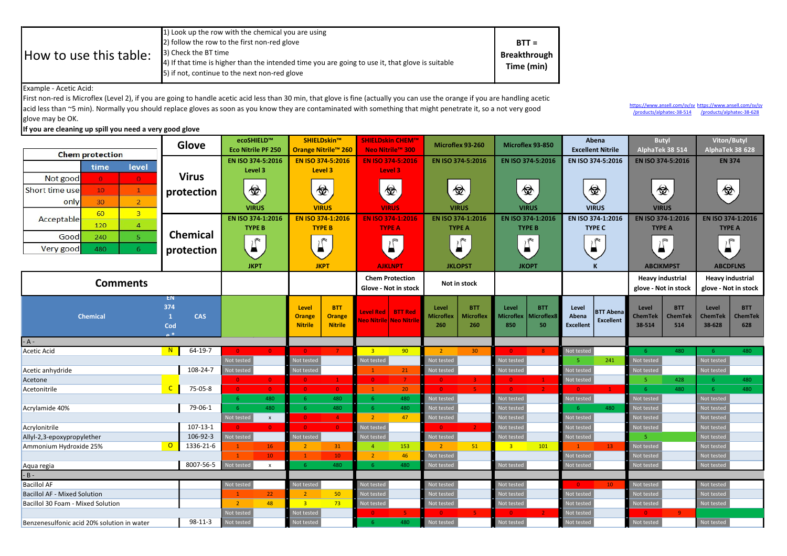| How to use this table: | 1) Look up the row with the chemical you are using<br>2) follow the row to the first non-red glove<br>3) Check the BT time<br>4) If that time is higher than the intended time you are going to use it, that glove is suitable<br>5) if not, continue to the next non-red glove | $BTT =$<br><b>Breakthrough</b><br>Time (min) |
|------------------------|---------------------------------------------------------------------------------------------------------------------------------------------------------------------------------------------------------------------------------------------------------------------------------|----------------------------------------------|
|------------------------|---------------------------------------------------------------------------------------------------------------------------------------------------------------------------------------------------------------------------------------------------------------------------------|----------------------------------------------|

Example - Acetic Acid:

First non-red is Microflex (Level 2), if you are going to handle acetic acid less than 30 min, that glove is fine (actually you can use the orange if you are handling acetic acid less than ~5 min). Normally you should replace gloves as soon as you know they are contaminated with something that might penetrate it, so a not very good glove may be OK.

## If you are cleaning up spill you need a very good glove

https://www.ansell.com/sv/sv https://www.ansell.com/sv/sv /products/alphatec-38-628 /products/alphatec-38-514

|                                            | Glove                             | ecoSHIELD™<br><b>Eco Nitrile PF 250</b> | SHIELDskin™<br><b>Orange Nitrile™ 260</b>             | <b>SHIELDskin CHEM™</b>             | Microflex 93-260                                            | Microflex 93-850                                      | Abena<br><b>Excellent Nitrile</b>                                                                                                                                                                                                                                                                                                                   | <b>Butyl</b><br>AlphaTek 38 514                  | Viton/Butyl<br>AlphaTek 38 628                          |
|--------------------------------------------|-----------------------------------|-----------------------------------------|-------------------------------------------------------|-------------------------------------|-------------------------------------------------------------|-------------------------------------------------------|-----------------------------------------------------------------------------------------------------------------------------------------------------------------------------------------------------------------------------------------------------------------------------------------------------------------------------------------------------|--------------------------------------------------|---------------------------------------------------------|
| <b>Chem protection</b>                     |                                   |                                         |                                                       | Neo Nitrile™ 300                    |                                                             |                                                       |                                                                                                                                                                                                                                                                                                                                                     |                                                  |                                                         |
| level<br>time                              |                                   | EN ISO 374-5:2016<br>Level 3            | EN ISO 374-5:2016<br>Level 3                          | <b>EN ISO 374-5:2016</b><br>Level 3 | EN ISO 374-5:2016                                           | EN ISO 374-5:2016                                     | EN ISO 374-5:2016                                                                                                                                                                                                                                                                                                                                   | EN ISO 374-5:2016                                | <b>EN 374</b>                                           |
| Not good<br>$\bullet$<br>$\sigma$          | <b>Virus</b>                      |                                         |                                                       |                                     |                                                             |                                                       |                                                                                                                                                                                                                                                                                                                                                     |                                                  |                                                         |
| Short time use<br>10<br>$\mathbf{1}$       | protection                        | 金                                       | 金                                                     | <del>۞</del>                        | 佥                                                           | 佥                                                     | 佥                                                                                                                                                                                                                                                                                                                                                   | 金                                                | 金                                                       |
| 30<br>$\overline{2}$<br>only               |                                   |                                         |                                                       |                                     |                                                             |                                                       |                                                                                                                                                                                                                                                                                                                                                     |                                                  |                                                         |
| 60<br>$\overline{3}$                       |                                   | <b>VIRUS</b>                            | <b>VIRUS</b>                                          | <b>VIRUS</b>                        | <b>VIRUS</b>                                                | <b>VIRUS</b>                                          | <b>VIRUS</b>                                                                                                                                                                                                                                                                                                                                        | <b>VIRUS</b>                                     |                                                         |
| Acceptable<br>120<br>$\overline{4}$        |                                   | EN ISO 374-1:2016                       | EN ISO 374-1:2016                                     | EN ISO 374-1:2016                   | EN ISO 374-1:2016                                           | EN ISO 374-1:2016                                     | EN ISO 374-1:2016                                                                                                                                                                                                                                                                                                                                   | EN ISO 374-1:2016                                | EN ISO 374-1:2016                                       |
| Good<br>5 <sup>1</sup><br>240              | Chemical                          | <b>TYPE B</b>                           | <b>TYPE B</b>                                         | <b>TYPE A</b>                       | <b>TYPE A</b>                                               | <b>TYPE B</b>                                         | <b>TYPE C</b>                                                                                                                                                                                                                                                                                                                                       | <b>TYPE A</b>                                    | <b>TYPE A</b>                                           |
|                                            |                                   | $\sum_{i=1}^{n}$                        | $\begin{matrix} \end{matrix}$                         | $\overline{\mathbb{L}}$             | $\sum_{i=1}^{\infty}$                                       | $\begin{matrix} \end{matrix}$                         | $\begin{picture}(20,20) \put(0,0){\line(1,0){10}} \put(15,0){\line(1,0){10}} \put(15,0){\line(1,0){10}} \put(15,0){\line(1,0){10}} \put(15,0){\line(1,0){10}} \put(15,0){\line(1,0){10}} \put(15,0){\line(1,0){10}} \put(15,0){\line(1,0){10}} \put(15,0){\line(1,0){10}} \put(15,0){\line(1,0){10}} \put(15,0){\line(1,0){10}} \put(15,0){\line(1$ | $\bigcap$                                        | $\overline{\mathcal{L}}$                                |
| Very good<br>480<br>6                      | protection                        |                                         |                                                       |                                     |                                                             |                                                       |                                                                                                                                                                                                                                                                                                                                                     | ▄                                                |                                                         |
|                                            |                                   | <b>JKPT</b>                             | <b>JKPT</b>                                           | <b>AJKLNPT</b>                      | <b>JKLOPST</b>                                              | <b>JKOPT</b>                                          | K                                                                                                                                                                                                                                                                                                                                                   | <b>ABCIKMPST</b>                                 | <b>ABCDFLNS</b>                                         |
| <b>Comments</b>                            |                                   |                                         |                                                       | <b>Chem Protection</b>              | Not in stock                                                |                                                       |                                                                                                                                                                                                                                                                                                                                                     | <b>Heavy industrial</b>                          | <b>Heavy industrial</b>                                 |
|                                            |                                   |                                         |                                                       | Glove - Not in stock                |                                                             |                                                       |                                                                                                                                                                                                                                                                                                                                                     | glove - Not in stock                             | glove - Not in stock                                    |
|                                            | EN                                |                                         |                                                       |                                     |                                                             |                                                       |                                                                                                                                                                                                                                                                                                                                                     |                                                  |                                                         |
| <b>Chemical</b>                            | 374<br><b>CAS</b><br>$\mathbf{1}$ |                                         | <b>BTT</b><br>Level<br><b>Orange</b><br><b>Orange</b> | Level Red BTT Red                   | <b>BTT</b><br>Level<br><b>Microflex</b><br><b>Microflex</b> | Level<br><b>BTT</b><br>Aicroflex8<br><b>Microflex</b> | Level<br><b>BTT Abena</b><br>Abena                                                                                                                                                                                                                                                                                                                  | <b>BTT</b><br>Level<br><b>ChemTek</b><br>ChemTek | Level<br><b>BTT</b><br><b>ChemTek</b><br><b>ChemTek</b> |
|                                            | Cod                               |                                         | <b>Nitrile</b><br><b>Nitrile</b>                      | Neo Nitrile  Neo Nitrik             | 260<br>260                                                  | 50<br>850                                             | <b>Excellent</b><br><b>Excellent</b>                                                                                                                                                                                                                                                                                                                | 38-514<br>514                                    | 38-628<br>628                                           |
| $\overline{a}$                             |                                   |                                         |                                                       |                                     |                                                             |                                                       |                                                                                                                                                                                                                                                                                                                                                     |                                                  |                                                         |
| - A -                                      | $64-19-7$<br>N                    |                                         |                                                       |                                     |                                                             |                                                       |                                                                                                                                                                                                                                                                                                                                                     |                                                  |                                                         |
| Acetic Acid                                |                                   | $\Omega$<br>$\Omega$<br>Not tested      | $\overline{0}$<br>$\overline{7}$<br>Not tested        | 90<br>3 <sup>°</sup><br>Not tested  | 30 <sup>°</sup><br>$\overline{2}$<br>Not tested             | $\Omega$<br>8<br>Not tested                           | Not tested<br>241<br>$\overline{\mathbb{Q}}$                                                                                                                                                                                                                                                                                                        | 480<br>- 6<br>lot tested                         | 480<br>-6<br>Not tested                                 |
| Acetic anhydride                           | 108-24-7                          | Not tested                              | Not tested                                            | 21<br>$\mathbf{1}$                  | Not tested                                                  | Not tested                                            | Not tested                                                                                                                                                                                                                                                                                                                                          | Not tested                                       | Not tested                                              |
| Acetone                                    |                                   | $\overline{0}$<br>$\overline{0}$        | $\Omega$<br>$\mathbf{1}$                              | $\overline{7}$<br>$\overline{0}$    | $\overline{0}$                                              | $\blacksquare$<br>$\Omega$                            | Not tested                                                                                                                                                                                                                                                                                                                                          | 428<br>-5                                        | 480                                                     |
| Acetonitrile                               | $\mathsf{C}$<br>75-05-8           | $\bullet$<br>$\overline{0}$             | $\bullet$<br>$\overline{0}$                           | 20 <sub>2</sub><br>$\mathbf{1}$     | $\overline{0}$                                              | $\Omega$<br>2 <sup>1</sup>                            | $\Omega$                                                                                                                                                                                                                                                                                                                                            | 480<br>-6                                        | 480<br>6                                                |
|                                            |                                   | 480<br>-6                               | $-6$<br>480                                           | 480<br>$-6$                         | Not tested                                                  | Not tested                                            | Not tested                                                                                                                                                                                                                                                                                                                                          | Not tested                                       | Not tested                                              |
| Acrylamide 40%                             | 79-06-1                           | 480<br>-6                               | 6 <sup>°</sup><br>480                                 | $-6$<br>480                         | Not tested                                                  | Not tested                                            | 480                                                                                                                                                                                                                                                                                                                                                 | Not tested                                       | Not tested                                              |
|                                            |                                   | Not tested<br>$\mathbf x$               | $\bullet$<br>$\overline{4}$                           | $\overline{2}$<br>47                | Not tested                                                  | Not tested                                            | Not tested                                                                                                                                                                                                                                                                                                                                          | <b>Not tested</b>                                | Not tested                                              |
| Acrylonitrile                              | $107 - 13 - 1$                    | $\Omega$<br>$\overline{0}$              | $\overline{0}$<br>$\Omega$                            | Not tested                          | -0                                                          | Not tested                                            | Not tested                                                                                                                                                                                                                                                                                                                                          | Not tested                                       | Not tested                                              |
| Allyl-2,3-epoxypropylether                 | 106-92-3                          | Not tested                              | Not tested                                            | <b>Not tested</b>                   | Not tested                                                  | Not tested                                            | Not testec                                                                                                                                                                                                                                                                                                                                          |                                                  | Not tested                                              |
| Ammonium Hydroxide 25%                     | $\circ$<br>1336-21-6              | 16 <sup>1</sup><br>$\mathbf{1}$         | 31<br>$\overline{2}$                                  | 153<br>$\overline{4}$               | 51<br>$\overline{2}$                                        | 101<br>$\overline{\mathbf{3}}$                        | 13 <sup>°</sup>                                                                                                                                                                                                                                                                                                                                     | Not tested                                       | Not tested                                              |
|                                            | 8007-56-5                         | 10 <sub>1</sub><br>Not tested           | $\mathbf{1}$<br>10<br>-6<br>480                       | $\overline{2}$<br>46<br>480<br>-6   | Not tested                                                  | Not tested                                            | Not tested                                                                                                                                                                                                                                                                                                                                          | <b>Not tested</b>                                | Not tested                                              |
| Aqua regia                                 |                                   | $\mathsf{x}$                            |                                                       |                                     | Not tested                                                  |                                                       | Not tested                                                                                                                                                                                                                                                                                                                                          | Not tested                                       | Not tested                                              |
| - B -<br><b>Bacillol AF</b>                |                                   |                                         |                                                       |                                     | Not tested                                                  | Not tested                                            |                                                                                                                                                                                                                                                                                                                                                     |                                                  |                                                         |
| <b>Bacillol AF - Mixed Solution</b>        |                                   | Not tested<br>22 <sub>2</sub>           | Not tested<br>50<br>$\overline{2}$                    | Not tested<br>Not tested            | Not tested                                                  | Not tested                                            | 10 <sub>1</sub><br>$\overline{0}$<br>Not tested                                                                                                                                                                                                                                                                                                     | Not tested<br>Not tested                         | Not tested<br>Not tested                                |
| Bacillol 30 Foam - Mixed Solution          |                                   | 48<br>$\overline{2}$                    | $\overline{3}$<br>73                                  | Not tested                          | Not tested                                                  | Not tested                                            | Not tested                                                                                                                                                                                                                                                                                                                                          | Not tested                                       | Not tested                                              |
|                                            |                                   | Not tested                              | Not tested                                            | 5 <sub>1</sub><br>$\mathbf{0}$      | $\overline{0}$<br>-51                                       | $\Omega$<br>$\overline{2}$                            | Not tested                                                                                                                                                                                                                                                                                                                                          | $\Omega$<br>9 <sup>°</sup>                       |                                                         |
| Benzenesulfonic acid 20% solution in water | $98 - 11 - 3$                     | Not tested                              | Not testec                                            | 480<br>-6                           | Not tested                                                  | Not tested                                            | Not tested                                                                                                                                                                                                                                                                                                                                          | Not tested                                       | Not tested                                              |
|                                            |                                   |                                         |                                                       |                                     |                                                             |                                                       |                                                                                                                                                                                                                                                                                                                                                     |                                                  |                                                         |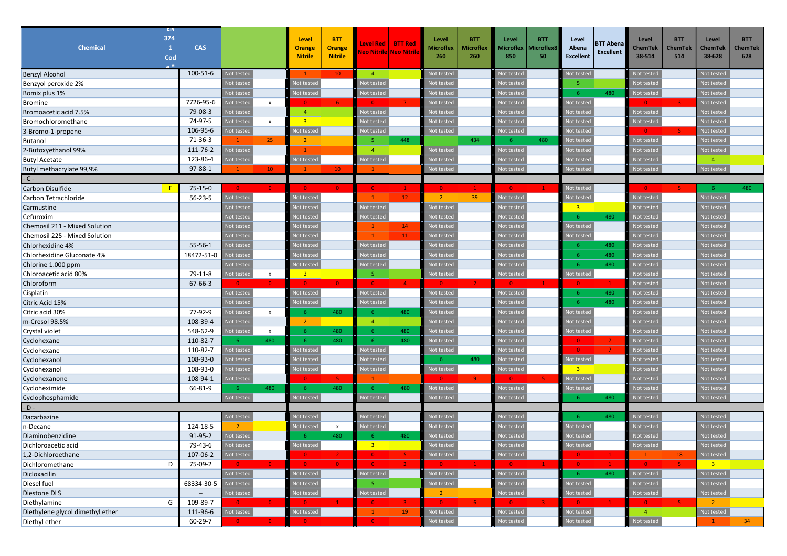| EN                               |                          |                          |              |                         |                           |                                                         |                 |                  |                  |                   |            |                         |                                      |                |            |                            |                |
|----------------------------------|--------------------------|--------------------------|--------------|-------------------------|---------------------------|---------------------------------------------------------|-----------------|------------------|------------------|-------------------|------------|-------------------------|--------------------------------------|----------------|------------|----------------------------|----------------|
| 374                              |                          |                          |              | Level                   | <b>BTT</b>                |                                                         |                 | Level            | <b>BTT</b>       | Level             | <b>BTT</b> | Level                   |                                      | Level          | <b>BTT</b> | Level                      | <b>BTT</b>     |
| <b>Chemical</b><br>$\mathbf{1}$  | <b>CAS</b>               |                          |              | <b>Orange</b>           | <b>Orange</b>             | <b>Level Red</b><br><mark>Neo Nitrile Neo Nitril</mark> | <b>BTT Red</b>  | <b>Microflex</b> | <b>Microflex</b> | Microflex         | Aicroflex8 | Abena                   | <b>BTT Abena</b><br><b>Excellent</b> | ChemTek        | ChemTek    | <b>ChemTek</b>             | <b>ChemTek</b> |
| Cod                              |                          |                          |              | <b>Nitrile</b>          | <b>Nitrile</b>            |                                                         |                 | 260              | 260              | 850               | 50         | <b>Excellent</b>        |                                      | 38-514         | 514        | 38-628                     | 628            |
| <b>Benzyl Alcohol</b>            | 100-51-6                 | <b>Not tested</b>        |              | $\mathbf{1}$            | 10 <sub>1</sub>           | $\overline{4}$                                          |                 | Not tested       |                  | Not testec        |            | Not testec              |                                      | Not tested     |            | Not tested                 |                |
| Benzyol peroxide 2%              |                          | Not tested               |              | Not tested              |                           | Not tested                                              |                 | Not tested       |                  | Not testec        |            | -5.                     |                                      | Not tested     |            | Not tested                 |                |
| Bomix plus 1%                    |                          | <b>Not teste</b>         |              | Not tested              |                           | <b>Not tested</b>                                       |                 | Not tested       |                  | lot tested        |            | -6                      | 480                                  | Not tested     |            | Not tested                 |                |
| <b>Bromine</b>                   | 7726-95-6                | <b>Not tested</b>        | $\mathsf{x}$ | n                       | 6                         | ◆                                                       |                 | Not tested       |                  | lot tested        |            | Not tested              |                                      | 0              | -31        | Not tested                 |                |
| Bromoacetic acid 7.5%            | 79-08-3                  | <b>Not tested</b>        |              | $\overline{a}$          |                           | <b>Not tested</b>                                       |                 | Not tested       |                  | lot testec        |            | Not testec              |                                      | Not tested     |            | Not tested                 |                |
| Bromochloromethane               | 74-97-5                  | <b>Not tested</b>        | $\pmb{\chi}$ | $\overline{3}$          |                           | Not tested                                              |                 | Not tested       |                  | <b>Not tested</b> |            | Not testec              |                                      | Not tested     |            | Not tested                 |                |
| 3-Bromo-1-propene                | 106-95-6                 | lot testec               |              | Not tested              |                           | lot tested                                              |                 | Not tested       |                  | lot tested        |            | Not testec              |                                      | -0.            |            | Not tested                 |                |
| <b>Butanol</b>                   | 71-36-3                  | $\mathbf{1}$             | 25           | $\overline{2}$          |                           | -5                                                      | 448             |                  | 434              | -6                | 480        | Not testec              |                                      | Not tested     |            | Not tested                 |                |
| 2-Butoxyethanol 99%              | 111-76-2                 | <b>Not tested</b>        |              | $\mathbf{1}$            |                           | $\overline{4}$                                          |                 | Not tested       |                  | Not tested        |            | Not tested              |                                      | Not tested     |            | Not tested                 |                |
| <b>Butyl Acetate</b>             | 123-86-4                 | <b>Not tested</b>        |              | Not tested              |                           | Not tested                                              |                 | Not tested       |                  | lot testec        |            | Not testec              |                                      | Not tested     |            | $\overline{4}$             |                |
| Butyl methacrylate 99,9%         | $97 - 88 - 1$            |                          | $10-10$      |                         | 10 <sub>1</sub>           |                                                         |                 | Not tested       |                  | <b>Not tested</b> |            | Not testec              |                                      | Not teste      |            | Not tested                 |                |
| $-C -$                           |                          |                          |              |                         |                           |                                                         |                 |                  |                  |                   |            |                         |                                      |                |            |                            |                |
| Carbon Disulfide                 | $75 - 15 - 0$            | $\overline{\phantom{0}}$ |              | - റ                     |                           | $\overline{\phantom{0}}$                                |                 | $\overline{0}$   |                  | $\overline{0}$    |            | Not tested              |                                      | $\overline{0}$ |            | - 6                        | 480            |
| Carbon Tetrachloride             | $56 - 23 - 5$            | Not testec               |              | Not tested              |                           | $\mathbf{1}$                                            | 12 <sub>2</sub> | $2^{\circ}$      | 39               | Not tested        |            | Not testec              |                                      | Not tested     |            | Not tested                 |                |
| Carmustine                       |                          | Not teste                |              | Not testec              |                           | <b>Not tested</b>                                       |                 | Not tested       |                  | <b>Not tested</b> |            | $\overline{\mathbf{3}}$ |                                      | Not tested     |            | Not tested                 |                |
| Cefuroxim                        |                          | Not tested               |              | Not tested              |                           | <b>Not tested</b>                                       |                 | Not tested       |                  | <b>Not tested</b> |            | -6                      | 480                                  | Not tested     |            | Not tested                 |                |
| Chemosil 211 - Mixed Solution    |                          | <b>Not teste</b>         |              | Not tested              |                           |                                                         | 14              | Not tested       |                  | ot testec         |            | Not tested              |                                      | Not tested     |            | Not tested                 |                |
| Chemosil 225 - Mixed Solution    |                          | Not tested               |              | Not testec              |                           | $\mathbf{1}$                                            | 11              | Not tested       |                  | <b>Not testec</b> |            | Not tested              |                                      | Not tested     |            | Not tested                 |                |
| Chlorhexidine 4%                 | $55 - 56 - 1$            | <b>Not teste</b>         |              | Not tested              |                           | Not tested                                              |                 | Not tested       |                  | lot testec        |            | -6                      | 480                                  | Not tested     |            | Not tested                 |                |
| Chlorhexidine Gluconate 4%       | 18472-51-0               | <b>lot</b> tested        |              | Not tested              |                           | lot tested                                              |                 | Not tested       |                  | lot testec        |            | -6                      | 480                                  | Not tested     |            | Not tested                 |                |
| Chlorine 1.000 ppm               |                          | Not tested               |              | Not tested              |                           | lot tested                                              |                 | Not tested       |                  | lot tested        |            | -6                      | 480                                  | Not tested     |            | Not tested                 |                |
| Chloroacetic acid 80%            | 79-11-8                  | <b>Not tested</b>        | $\mathsf{x}$ | $\overline{\mathbf{3}}$ |                           | -5                                                      |                 | Not tested       |                  | Not tested        |            | Not testec              |                                      | Not tested     |            | Not tested                 |                |
| Chloroform                       | $67 - 66 - 3$            | $\bullet$                | $\mathbf{0}$ | $\overline{0}$          |                           | $\bullet$                                               | $\overline{4}$  | -0               |                  | -0                |            | $\overline{0}$          | $\mathbf{1}$                         | Not tested     |            | Not tested                 |                |
| Cisplatin                        |                          | Not tested               |              | Not tested              |                           | Not tested                                              |                 | Not tested       |                  | Not tested        |            | -6                      | 480                                  | Not tested     |            | Not tested                 |                |
| Citric Acid 15%                  |                          | Not teste                |              | Not tested              |                           | Not tested                                              |                 | Not tested       |                  | lot tested        |            | -6                      | 480                                  | Not tested     |            | Not tested                 |                |
| Citric acid 30%                  | 77-92-9                  | <b>Not tested</b>        | $\pmb{\chi}$ | -6                      | 480                       | - 6                                                     | 480             | Not tested       |                  | <b>Not tested</b> |            | Not tested              |                                      | Not tested     |            | Not tested                 |                |
| m-Cresol 98.5%                   | 108-39-4                 | lot testec               |              | $\overline{2}$          |                           | $\overline{4}$                                          |                 | Not tested       |                  | ot testec         |            | lot testec              |                                      | Not tested     |            | Not tested                 |                |
| Crystal violet                   | 548-62-9                 | <b>Not tested</b>        | $\mathsf{x}$ | -6                      | 480                       | - 6                                                     | 480             | Not tested       |                  | <b>Not testec</b> |            | Not testec              |                                      | Not tested     |            | Not tested                 |                |
| Cyclohexane                      | 110-82-7                 | $-6$                     | 480          | -6                      | 480                       | 6                                                       | 480             | Not tested       |                  | lot testec        |            | $\bullet$               | 7 <sup>7</sup>                       | Not tested     |            | Not tested                 |                |
| Cyclohexane                      | 110-82-7                 | lot testec               |              | Not tested              |                           | <b>Not tested</b>                                       |                 | Not tested       |                  | <b>Not testec</b> |            | $\overline{0}$          |                                      | Not tested     |            | Not tested                 |                |
| Cyclohexanol                     | 108-93-0                 | <b>Not tested</b>        |              | Not tested              |                           | lot tested                                              |                 | -6               | 480              | <b>Not tested</b> |            | Not tested              |                                      | Not tested     |            | Not tested                 |                |
| Cyclohexanol                     | 108-93-0                 | <b>Not testec</b>        |              | Not tested              |                           | <b>Not tested</b>                                       |                 | Not tested       |                  | Not tested        |            | 3 <sup>2</sup>          |                                      | Not tested     |            | Not tested                 |                |
| Cyclohexanone                    | 108-94-1                 | lot tested               |              | -0.                     | 5.                        | -1                                                      |                 | -0               | $\mathbf{Q}$     | $\Omega$          |            | Not tested              |                                      | Not tester     |            | Not tested                 |                |
| Cycloheximide                    | 66-81-9                  | -6                       | 480          | -6                      | 480                       | -6                                                      | 480             | Not tested       |                  | Not testec        |            | <b>Not testec</b>       |                                      | Not tested     |            | Not tested                 |                |
| Cyclophosphamide                 |                          | Not teste                |              | Not testec              |                           | Not tested                                              |                 | Not tested       |                  | Not teste         |            | -6                      | 480                                  | Not tested     |            | Not tested                 |                |
| $- D -$                          |                          |                          |              |                         |                           |                                                         |                 |                  |                  |                   |            |                         |                                      |                |            |                            |                |
| Dacarbazine                      |                          | Not testec               |              | Not tested              |                           | <b>Not tested</b>                                       |                 | Not tested       |                  | <b>Not tested</b> |            | -6                      | 480                                  | Not tested     |            | Not tested                 |                |
| n-Decane                         | 124-18-5                 | $\overline{2}$           |              | Not tested              | $\boldsymbol{\mathsf{x}}$ | <b>Not tested</b>                                       |                 | Not tested       |                  | lot tested        |            | Not testec              |                                      | Not teste      |            | Not tested                 |                |
| Diaminobenzidine                 | 91-95-2                  | <b>Not tested</b>        |              | -6                      | 480                       | -6                                                      | 480             | Not tested       |                  | ot tested         |            | lot testec              |                                      | Not tested     |            | Not tested                 |                |
| Dichloroacetic acid              | 79-43-6                  | Not tested               |              | Not tested              |                           | ತ                                                       |                 | Not tested       |                  | lot tested        |            | Not tested              |                                      | Not tested     |            | Not tested                 |                |
| 1,2-Dichloroethane               | 107-06-2                 | Not tested               |              | $\overline{0}$          | 2 <sup>1</sup>            | $\bullet$                                               | -51             | Not tested       |                  | Not tested        |            | $\mathbf{0}$            | $\mathbf{1}$                         | $\mathbf{1}$   | <b>18</b>  | Not tested                 |                |
| Dichloromethane<br>D             | 75-09-2                  | $\overline{\mathbf{0}}$  |              | $\overline{0}$          | $\mathbf{0}$              | $\bullet$                                               |                 | $\Omega$         |                  | $\bullet$         |            | $\bullet$               |                                      | $\bullet$      | -51        | $\overline{\phantom{0}}$ 3 |                |
| Dicloxacilin                     |                          | Not tested               |              | Not tested              |                           | Not tested                                              |                 | Not tested       |                  | Not tested        |            | -6                      | 480                                  | Not tested     |            | Not tested                 |                |
| Diesel fuel                      | 68334-30-5               | <b>Not tested</b>        |              | Not tested              |                           | -5                                                      |                 | Not tested       |                  | Not tested        |            | Not tested              |                                      | Not tested     |            | Not tested                 |                |
| Diestone DLS                     | $\overline{\phantom{0}}$ | Not tested               |              | Not tested              |                           | Not tested                                              |                 | 2 <sup>7</sup>   |                  | Not tested        |            | Not tested              |                                      | Not tested     |            | Not tested                 |                |
| G<br>Diethylamine                | 109-89-7                 | - 0 -                    |              | $\overline{0}$          |                           | $\bullet$                                               |                 | $\overline{0}$   |                  | $\overline{0}$    |            | $\overline{0}$          |                                      | $\bullet$      |            | $\overline{2}$             |                |
| Diethylene glycol dimethyl ether | 111-96-6                 | Not tested               |              | Not tested              |                           | $\mathbf{1}$                                            | 19              | Not tested       |                  | Not tested        |            | Not tested              |                                      | $\overline{4}$ |            | Not tested                 |                |
| Diethyl ether                    | $60 - 29 - 7$            |                          |              |                         |                           | $\bullet$                                               |                 | Not tested       |                  | Not tested        |            | Not tested              |                                      | Not tested     |            |                            | 34             |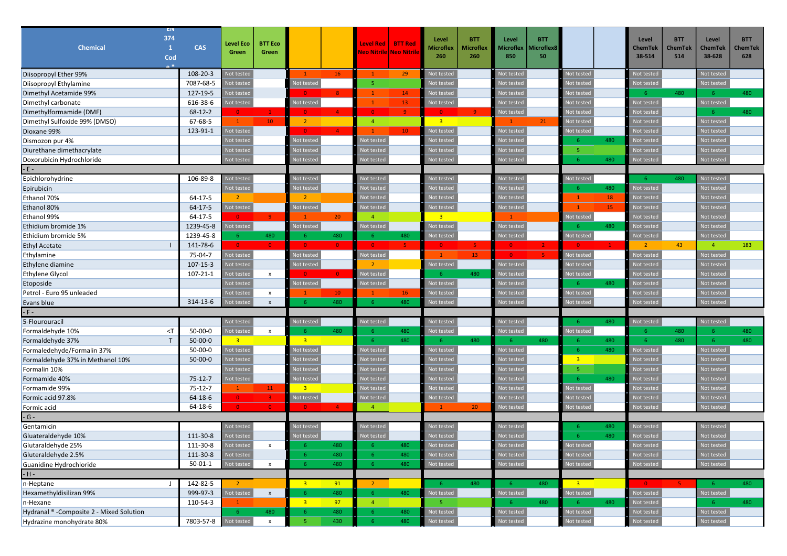| EN                                       |                |                         |                    |                          |                 |                                     |                 |                         |                  |                   |                  |                |     |                          |                       |                          |                |
|------------------------------------------|----------------|-------------------------|--------------------|--------------------------|-----------------|-------------------------------------|-----------------|-------------------------|------------------|-------------------|------------------|----------------|-----|--------------------------|-----------------------|--------------------------|----------------|
| 374                                      |                | <b>Level Eco</b>        | <b>BTT Eco</b>     |                          |                 | <b>Level Red</b>                    | <b>BTT Red</b>  | Level                   | <b>BTT</b>       | Level             | <b>BTT</b>       |                |     | Level                    | <b>BTT</b>            | Level                    | <b>BTT</b>     |
| Chemical<br>1<br>Cod                     | <b>CAS</b>     | Green                   | Green              |                          |                 | <mark>Neo Nitrile Neo Nitrik</mark> |                 | <b>Microflex</b><br>260 | Microflex<br>260 | Microflex<br>850  | Microflex8<br>50 |                |     | ChemTek<br>38-514        | <b>ChemTek</b><br>514 | <b>ChemTek</b><br>38-628 | ChemTek<br>628 |
|                                          |                |                         |                    |                          |                 |                                     |                 |                         |                  |                   |                  |                |     |                          |                       |                          |                |
| Diisopropyl Ether 99%                    | 108-20-3       | <b>Not tested</b>       |                    |                          | <b>16</b>       | $\mathbf{1}$                        | 29              | Not tested              |                  | <b>Not tested</b> |                  | Not tested     |     | Not tested               |                       | Not tested               |                |
| Diisopropyl Ethylamine                   | 7087-68-5      | <b>Not tested</b>       |                    | Not tested               |                 | -5                                  |                 | Not tested              |                  | ot teste          |                  | Not tested     |     | Not tested               |                       | Not tested               |                |
| Dimethyl Acetamide 99%                   | 127-19-5       | lot tested              |                    | $\overline{0}$           | $\mathbf{R}$    | $\mathbf{1}$                        | 14              | Not tested              |                  | ot teste          |                  | Not testec     |     | -6                       | 480                   | -6                       | 480            |
| Dimethyl carbonate                       | 616-38-6       | <b>Not tested</b>       |                    | Not tested               |                 | $\mathbf{1}$                        | 13              | Not tested              |                  | lot testec        |                  | Not testec     |     | Not tested               |                       | Not tested               |                |
| Dimethylformamide (DMF)                  | $68 - 12 - 2$  | $\bullet$               | $\mathbf{1}$       | $\overline{0}$           | $\mathbf{A}$    | $\overline{0}$                      | $\overline{9}$  | $\mathbf{0}$            | 9 <sup>°</sup>   | Not tested        |                  | Not teste      |     | <b>Not tested</b>        |                       | -6                       | 480            |
| Dimethyl Sulfoxide 99% (DMSO)            | 67-68-5        | $\mathbf{1}$            | $10-10$            | $\overline{2}$           |                 | $\overline{4}$                      |                 | 3 <sup>2</sup>          |                  | $\mathbf{1}$      | 21               | Not tested     |     | <b>Not tested</b>        |                       | Not tested               |                |
| Dioxane 99%                              | 123-91-1       | Not tested              |                    | $\overline{0}$           | 4 <sup>1</sup>  |                                     | 10 <sub>1</sub> | Not tested              |                  | lot teste         |                  | Not tested     |     | <b>Vot tested</b>        |                       | Not tested               |                |
| Dismozon pur 4%                          |                | Not tested              |                    | Not tested               |                 | <b>Not tested</b>                   |                 | Not tested              |                  | lot teste         |                  |                | 480 | <b>Not tested</b>        |                       | Not tested               |                |
| Diurethane dimethacrylate                |                | Not teste               |                    | Not tested               |                 | <b>Not tested</b>                   |                 | Not tested              |                  | ot teste          |                  | 5              |     | Not testec               |                       | Not tested               |                |
| Doxorubicin Hydrochloride                |                | Not teste               |                    | Not testec               |                 | lot testec                          |                 | Not tester              |                  | Not teste         |                  |                | 480 | <b>Not teste</b>         |                       | Not tested               |                |
| $-E -$                                   |                |                         |                    |                          |                 |                                     |                 |                         |                  |                   |                  |                |     |                          |                       |                          |                |
| Epichlorohydrine                         | 106-89-8       | Not tested              |                    | Not tested               |                 | Not tested                          |                 | Not tested              |                  | Not teste         |                  | Not tested     |     | -6                       | 480                   | Not tested               |                |
| Epirubicin                               |                | Not tested              |                    | Not tested               |                 | <b>Not testec</b>                   |                 | Not tested              |                  | lot teste         |                  | -6             | 480 | <b>Not tested</b>        |                       | Not tested               |                |
| Ethanol 70%                              | $64 - 17 - 5$  | $\overline{2}$          |                    | $\overline{2}$           |                 | Not tested                          |                 | Not tested              |                  | ot tested         |                  | $\mathbf{1}$   | 18  | Not tested               |                       | Not tested               |                |
| Ethanol 80%                              | $64 - 17 - 5$  | Not tested              |                    | Not tested               |                 | Not tested                          |                 | Not tested              |                  | <b>Vot tester</b> |                  | $\mathbf{1}$   | 15  | Not tested               |                       | Not tested               |                |
| Ethanol 99%                              | 64-17-5        | $\overline{0}$          | $\mathbf{q}$       | -1                       | 20 <sub>2</sub> | $\overline{4}$                      |                 | $\overline{3}$          |                  | $\mathbf{1}$      |                  | Not tested     |     | Not tested               |                       | Not tested               |                |
| Ethidium bromide 1%                      | 1239-45-8      | <b>Not tested</b>       |                    | Not tested               |                 | Not tested                          |                 | Not tested              |                  | <b>Not tested</b> |                  | -6             | 480 | <b>Not tested</b>        |                       | Not tested               |                |
| Ethidium bromide 5%                      | 1239-45-8      | -6                      | 480                | -6                       | 480             | -6                                  | 480             | Not tested              |                  | Not testec        |                  | Not tested     |     | Not tested               |                       | Not tested               |                |
| <b>Ethyl Acetate</b>                     | 141-78-6       | $\overline{\mathbf{0}}$ | $\overline{0}$     | $\overline{0}$           | $\mathbf{0}$    | $\bullet$                           | -5              | $\mathbf{0}$            | -51              | $\mathbf{0}$      | $\mathbf{2}$     | $\Omega$       |     | $\overline{2}$           | 43                    | $\overline{4}$           | 183            |
| Ethylamine                               | 75-04-7        | Not tested              |                    | Not tested               |                 | Not tested                          |                 |                         | 13               | $\overline{0}$    | -51              | Not tested     |     | <b>Not tested</b>        |                       | Not tested               |                |
| Ethylene diamine                         | $107 - 15 - 3$ | <b>Not tested</b>       |                    | Not tested               |                 | $\overline{2}$                      |                 | Not tested              |                  | Not tested        |                  | Not tested     |     | <b>Not tested</b>        |                       | Not tested               |                |
| <b>Ethylene Glycol</b>                   | 107-21-1       | <b>Not tested</b>       | $\mathsf{x}$       | $\overline{0}$           | $\mathbf{0}$    | Not tested                          |                 | -6                      | 480              | lot teste         |                  | Not tested     |     | <b>Not tested</b>        |                       | Not tested               |                |
| Etoposide                                |                | Not tested              |                    | Not tested               |                 | <b>Not tested</b>                   |                 | Not tested              |                  | ot teste          |                  | -6             | 480 | <b>Not testec</b>        |                       | Not tested               |                |
| Petrol - Euro 95 unleaded                |                | Not tested              | $\pmb{\chi}$       | -1                       | 10              | $\mathbf{1}$                        | 16              | Not tested              |                  | ot teste          |                  | Not tested     |     | Not testec               |                       | Not tested               |                |
| Evans blue                               | 314-13-6       | Not teste               | $\pmb{\mathsf{x}}$ | -6                       | 480             | -6                                  | 480             | Not teste               |                  | Not teste         |                  | Not tested     |     | Not teste                |                       | Not tested               |                |
| $-F -$                                   |                |                         |                    |                          |                 |                                     |                 |                         |                  |                   |                  |                |     |                          |                       |                          |                |
| 5-Flourouracil                           |                | Not tested              |                    | Not tested               |                 | Not tested                          |                 | Not tested              |                  | lot tested        |                  |                | 480 | Not tested               |                       | Not tested               |                |
| $\leq$ T<br>Formaldehyde 10%             | $50 - 00 - 0$  | Not tested              | $\mathsf{x}$       | -6                       | 480             | -6                                  | 480             | Not tested              |                  | <b>Not tested</b> |                  | Not tested     |     | -6                       | 480                   | -6                       | 480            |
| T.<br>Formaldehyde 37%                   | $50 - 00 - 0$  | $-3$                    |                    | $-3$                     |                 | -6                                  | 480             | -6                      | 480              | -6                | 480              | 6.             | 480 | 6 <sup>°</sup>           | 480                   | 6                        | 480            |
| Formaledehyde/Formalin 37%               | 50-00-0        | Not tested              |                    | Not tested               |                 | Not tested                          |                 | Not tested              |                  | lot tested        |                  | 6              | 480 | Not tested               |                       | Not tested               |                |
| Formaldehyde 37% in Methanol 10%         | $50 - 00 - 0$  | Not tested              |                    | Not tested               |                 | <b>Not tested</b>                   |                 | Not tested              |                  | lot teste         |                  | 3 <sup>2</sup> |     | Not tested               |                       | Not tested               |                |
| Formalin 10%                             |                | Not tested              |                    | Not tested               |                 | Not tested                          |                 | Not tested              |                  | lot teste         |                  | 5              |     | Not testec               |                       | Not tested               |                |
| Formamide 40%                            | $75 - 12 - 7$  | <b>Not tested</b>       |                    | Not tested               |                 | lot testec                          |                 | Not tested              |                  | ot teste          |                  | 6              | 480 | <b>Not testec</b>        |                       | Not tested               |                |
| Formamide 99%                            | $75 - 12 - 7$  | $\mathbf{1}$            | 11                 | 3 <sup>2</sup>           |                 | <b>Not tested</b>                   |                 | Not tested              |                  | ot teste          |                  | Not tested     |     | <b>Not tested</b>        |                       | Not tested               |                |
| Formic acid 97.8%                        | 64-18-6        | $\overline{0}$          | 3.                 | Not tested               |                 | Not tested                          |                 | Not tested              |                  | <b>Not tester</b> |                  | Not testec     |     | <b>lot tester</b>        |                       | Not tested               |                |
| Formic acid                              | $64 - 18 - 6$  | $\Omega$                |                    | $\overline{\phantom{0}}$ | $\mathbf{A}$    | $\overline{4}$                      |                 | $\mathbf{1}$            | 20 <sub>2</sub>  | Not tested        |                  | Not tested     |     | <b>Not tested</b>        |                       | Not tested               |                |
| $-G -$                                   |                |                         |                    |                          |                 |                                     |                 |                         |                  |                   |                  |                |     |                          |                       |                          |                |
| Gentamicin                               |                | Not tested              |                    | Not tested               |                 | Not tested                          |                 | Not tested              |                  | <b>Not tested</b> |                  |                | 480 | Not tested               |                       | Not tested               |                |
| Gluateraldehyde 10%                      | 111-30-8       | Not tested              |                    | Not tested               |                 | <b>Not tested</b>                   |                 | Not tested              |                  | ot teste          |                  |                | 480 | Not testec               |                       | Not tested               |                |
| Glutaraldehyde 25%                       | 111-30-8       | Not tested              |                    |                          | 480.            |                                     | 480             | Not tested              |                  | lot tested        |                  | Not tested     |     | Not tested               |                       | Not tested               |                |
| Gluteraldehyde 2.5%                      | 111-30-8       | Not tested              |                    | -6                       | 480             | -6                                  | 480             | Not tested              |                  | Not tested        |                  | Not tested     |     | Not tested               |                       | Not tested               |                |
| Guanidine Hydrochloride                  | $50 - 01 - 1$  | Not tested              | $\mathsf{x}$       | -6                       | 480             | $-6$                                | 480             | Not tested              |                  | Not tested        |                  | Not tested     |     | Not tested               |                       | Not tested               |                |
| $-H -$                                   |                |                         |                    |                          |                 |                                     |                 |                         |                  |                   |                  |                |     |                          |                       |                          |                |
| n-Heptane                                | 142-82-5       | $\overline{2}$          |                    | $\overline{\mathbf{3}}$  | 91              | $\overline{2}$                      |                 | $-6$                    | 480              | 6 <sup>°</sup>    | 480              | $-3$           |     | $\overline{\phantom{a}}$ | -5.                   | $-6$                     | 480            |
| Hexamethyldisilizan 99%                  | 999-97-3       | Not tested              | $\pmb{\mathsf{x}}$ | -6                       | 480             | $-6$                                | 480             | Not tested              |                  | Not tested        |                  | Not tested     |     | Not tested               |                       | Not tested               |                |
| n-Hexane                                 | 110-54-3       | $\mathbf{1}$            |                    | 3 <sup>o</sup>           | 97              | $\sqrt{4}$                          |                 | 5                       |                  | $-6$              | 480              |                | 480 | Not tested               |                       | $-6$                     | 480            |
| Hydranal ® -Composite 2 - Mixed Solution |                | 6 <sup>1</sup>          | 480                | 6                        | 480             | 6 <sup>6</sup>                      | 480             | Not tested              |                  | Not tested        |                  | Not tested     |     | Not tested               |                       | Not tested               |                |
| Hydrazine monohydrate 80%                | 7803-57-8      | Not tested              | $\mathbf{x}$       | $\overline{5}$           | 430             | 6 <sup>°</sup>                      | 480             | Not tested              |                  | Not tested        |                  | Not tested     |     | Not tested               |                       | Not tested               |                |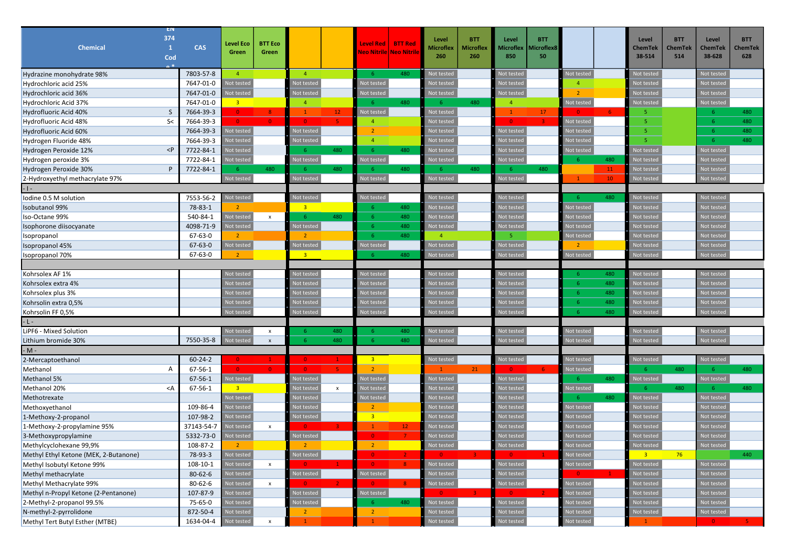|                                       | EN          |               |                         |                    |                         |              |                         |                 |                |            |                   |                   |                |              |                   |                |                |            |
|---------------------------------------|-------------|---------------|-------------------------|--------------------|-------------------------|--------------|-------------------------|-----------------|----------------|------------|-------------------|-------------------|----------------|--------------|-------------------|----------------|----------------|------------|
|                                       | 374         |               | <b>Level Eco</b>        | <b>BTT Eco</b>     |                         |              | <b>Level Red</b>        | <b>BTT Red</b>  | Level          | <b>BTT</b> | Level             | <b>BTT</b>        |                |              | Level             | <b>BTT</b>     | Level          | <b>BTT</b> |
| <b>Chemical</b>                       | 1           | <b>CAS</b>    | Green                   | Green              |                         |              | Neo Nitrile Neo Nitrik  |                 | Microflex      | Microflex  | Microflex         | <b>licroflex8</b> |                |              | <b>ChemTek</b>    | <b>ChemTek</b> | <b>ChemTek</b> | ChemTek    |
|                                       | Cod         |               |                         |                    |                         |              |                         |                 | 260            | 260        | 850               | 50                |                |              | 38-514            | 514            | 38-628         | 628        |
| Hydrazine monohydrate 98%             |             | 7803-57-8     | $\overline{4}$          |                    | $\overline{4}$          |              | $-6$                    | 480             | Not tested     |            | <b>Jot tested</b> |                   | Not tested     |              | <b>Not tested</b> |                | Not tested     |            |
| Hydrochloric acid 25%                 |             | 7647-01-0     | <b>Not tested</b>       |                    | Not tested              |              | Not tested              |                 | Not tested     |            | lot tested        |                   | $\overline{a}$ |              | <b>Not tested</b> |                | Not tested     |            |
| Hydrochloric acid 36%                 |             | 7647-01-0     | lot testec              |                    | Not testec              |              | lot tested              |                 | Not tested     |            | ot teste          |                   | $\overline{2}$ |              | <b>Not teste</b>  |                | Not tested     |            |
| Hydrochloric Acid 37%                 |             | 7647-01-0     | 3 <sup>2</sup>          |                    | $\overline{4}$          |              | -6                      | 480             | -6             | 480        | $\overline{4}$    |                   | Not tested     |              | Not tested        |                | Not tested     |            |
| Hydrofluoric Acid 40%                 | S           | 7664-39-3     | $\bullet$               | 8 <sup>°</sup>     | $\mathbf{1}$            | $12-$        | Not tested              |                 | Not tested     |            | $\mathbf{1}$      | 17                | $\overline{0}$ |              | 5.                |                | -6             | 480        |
| Hydrofluoric Acid 48%                 | S<          | 7664-39-3     | $\overline{0}$          | $\Omega$           | $\overline{0}$          |              | $\overline{4}$          |                 | Not tested     |            | $\overline{0}$    | -3                | Not tested     |              | 5                 |                | -6             | 480        |
| Hydrofluoric Acid 60%                 |             | 7664-39-3     | Not tested              |                    | Not tested              |              | $\overline{2}$          |                 | Not tested     |            | lot tested        |                   | Not tested     |              | 5.                |                |                | 480        |
| Hydrogen Fluoride 48%                 |             | 7664-39-3     | Not tested              |                    | Not tested              |              | $\overline{4}$          |                 | Not tested     |            | lot teste         |                   | Not tested     |              | 5                 |                | -6             | 480        |
| Hydrogen Peroxide 12%                 | $\langle P$ | 7722-84-1     | <b>Not tested</b>       |                    | -6                      | 480          | -6                      | 480             | Not tested     |            | lot tested        |                   | Not tested     |              | <b>Not tested</b> |                | Not tested     |            |
| Hydrogen peroxide 3%                  |             | 7722-84-1     | <b>Vot tested</b>       |                    | Not tested              |              | <b>Not tested</b>       |                 | Not tested     |            | lot tested        |                   | -6             | 480          | <b>Not tested</b> |                | Not tested     |            |
| Hydrogen Peroxide 30%                 | P           | 7722-84-1     | -6                      | 480                | -6                      | 480          | -6                      | 480             | -6             | 480        | -6                | 480               |                | 11           | Not tested        |                | Not tested     |            |
| 2-Hydroxyethyl methacrylate 97%       |             |               | Not tested              |                    | Not tested              |              | Not tested              |                 | Not tested     |            | Not tested        |                   | $\overline{1}$ | 10           | Not teste         |                | Not tested     |            |
|                                       |             |               |                         |                    |                         |              |                         |                 |                |            |                   |                   |                |              |                   |                |                |            |
| Iodine 0.5 M solution                 |             | 7553-56-2     | <b>Not tested</b>       |                    | Not tested              |              | Not tested              |                 | Not tested     |            | Not teste         |                   | -6             | 480          | Not tested        |                | Not tested     |            |
| <b>Isobutanol 99%</b>                 |             | 78-83-1       | $\overline{2}$          |                    | $\overline{\mathbf{3}}$ |              | -6                      | 480             | Not tested     |            | ot teste          |                   | Not tested     |              | <b>Vot teste</b>  |                | Not tested     |            |
| Iso-Octane 99%                        |             | 540-84-1      | <b>Not tested</b>       | $\mathsf{x}$       | -6                      | 480          | -6                      | 480             | Not tested     |            | lot tested        |                   | Not tested     |              | <b>Not tested</b> |                | Not tested     |            |
| Isophorone diisocyanate               |             | 4098-71-9     | <b>Not tested</b>       |                    | Not tested              |              | -6                      | 480             | Not tested     |            | ot teste          |                   | Not tested     |              | lot teste         |                | Not tested     |            |
| Isopropanol                           |             | 67-63-0       | $\overline{2}$          |                    | $\overline{2}$          |              | $-6$                    | 480             | $\overline{4}$ |            | 5.                |                   | Not teste      |              | <b>Not teste</b>  |                | Not tested     |            |
| Isopropanol 45%                       |             | $67 - 63 - 0$ | Not tested              |                    | Not tested              |              | lot tested              |                 | Not tested     |            | <b>Jot tested</b> |                   |                |              | Not testec        |                | Not tested     |            |
| Isopropanol 70%                       |             | $67 - 63 - 0$ | $\overline{2}$          |                    | 3 <sup>2</sup>          |              | -6                      | 480             | Not teste      |            | lot teste         |                   | Not teste      |              | <b>Not teste</b>  |                | Not tested     |            |
|                                       |             |               |                         |                    |                         |              |                         |                 |                |            |                   |                   |                |              |                   |                |                |            |
| Kohrsolex AF 1%                       |             |               | Not tested              |                    | Not tested              |              | Not tested              |                 | Not tested     |            | lot teste         |                   | 6              | 480          | Not tested        |                | Not tested     |            |
| Kohrsolex extra 4%                    |             |               | Not teste               |                    | Not tested              |              | lot testec              |                 | Not tested     |            | ot teste          |                   | 6              | 480          | <b>Not teste</b>  |                | Not tested     |            |
| Kohrsolex plus 3%                     |             |               | Not testec              |                    | Not tested              |              | <b>Not tested</b>       |                 | Not tested     |            | lot tested        |                   | 6              | 480          | Not tested        |                | Not tested     |            |
| Kohrsolin extra 0,5%                  |             |               | Not teste               |                    | Not tested              |              | lot tested              |                 | Not tested     |            | ot teste          |                   | 6              | 480          | Not teste         |                | Not tested     |            |
| Kohrsolin FF 0,5%                     |             |               | Not testec              |                    | Not tested              |              | lot tested              |                 | Not tested     |            | Not tested        |                   | 6              | 480          | Not tester        |                | Not tested     |            |
|                                       |             |               |                         |                    |                         |              |                         |                 |                |            |                   |                   |                |              |                   |                |                |            |
| LiPF6 - Mixed Solution                |             |               | Not tested              | X                  | -6                      | 480          | -6                      | 480             | Not tested     |            | Not tested        |                   | Not testec     |              | Not tested        |                | Not tested     |            |
| Lithium bromide 30%                   |             | 7550-35-8     | <b>Not tested</b>       | $\mathsf{x}$       | -6                      | 480          | -6                      | 480             | Not tested     |            | <b>Not teste</b>  |                   | Not tested     |              | Not teste         |                | Not tested     |            |
| $- M -$                               |             |               |                         |                    |                         |              |                         |                 |                |            |                   |                   |                |              |                   |                |                |            |
| 2-Mercaptoethanol                     |             | $60 - 24 - 2$ | $\overline{0}$          |                    | $\overline{0}$          |              | $\overline{\mathbf{3}}$ |                 | Not tested     |            | Not tested        |                   | Not tested     |              | Not tested        |                | Not tested     |            |
| Methanol                              | Α           | $67 - 56 - 1$ | $\overline{0}$          |                    | $\Omega$                |              | $\overline{2}$          |                 |                | 21         | $\Omega$          |                   | Not teste      |              |                   | 480            | -6             | 480        |
| Methanol 5%                           |             | $67 - 56 - 1$ | Not tested              |                    | Not tested              |              | lot tested              |                 | Not tested     |            | lot tested        |                   | -6             | 480          | Not tested        |                | Not tested     |            |
| Methanol 20%                          | $<$ A       | 67-56-1       | $\overline{\mathbf{3}}$ |                    | Not tested              | $\mathsf{x}$ | lot tested              |                 | Not tested     |            | ot teste          |                   | Not tested     |              | -6.               | 480            | -6             | 480        |
| Methotrexate                          |             |               | Not tested              |                    | Not tested              |              | lot tested              |                 | Not tested     |            | ot teste          |                   | 6.             | 480          | Not tested        |                | Not tested     |            |
| Methoxyethanol                        |             | 109-86-4      | <b>Not tested</b>       |                    | <b>Not tested</b>       |              | $\overline{2}$          |                 | Not tested     |            | lot teste         |                   | Not tested     |              | <b>Not tested</b> |                | Not tested     |            |
| 1-Methoxy-2-propanol                  |             | 107-98-2      | Not tested              |                    | Not tested              |              | $\overline{\mathbf{3}}$ |                 | Not tested     |            | ot teste          |                   | Not tested     |              | <b>Jot tested</b> |                | Not tested     |            |
| 1-Methoxy-2-propylamine 95%           |             | 37143-54-7    | <b>Not tested</b>       | $\mathsf{x}$       |                         |              |                         | 12 <sub>1</sub> | Not tested     |            | ot teste          |                   | Not teste      |              | <b>lot</b> teste  |                | Not tested     |            |
| 3-Methoxypropylamine                  |             | 5332-73-0     | <b>Not tested</b>       |                    | Not tested              |              | $\Omega$                |                 | Not tested     |            | ot teste          |                   | Not testec     |              | lot testec        |                | Not tested     |            |
| Methylcyclohexane 99,9%               |             | 108-87-2      |                         |                    |                         |              | -2                      |                 | NOT Tested     |            | ιοτ τestea        |                   | Not tested     |              | ινοτ τesteα       |                | NOT Tested     |            |
| Methyl Ethyl Ketone (MEK, 2-Butanone) |             | 78-93-3       | Not tested              |                    | Not tested              |              | $\bullet$               |                 |                |            |                   |                   | Not tested     |              | 3 <sup>7</sup>    | 76             |                | 440        |
| Methyl Isobutyl Ketone 99%            |             | 108-10-1      | Not tested              | $\pmb{\mathsf{x}}$ |                         |              | $\bullet$               |                 | Not tested     |            | Not tested        |                   | Not tested     |              | Not tested        |                | Not tested     |            |
| Methyl methacrylate                   |             | 80-62-6       | Not tested              |                    | Not tested              |              | Not tested              |                 | Not tested     |            | lot testec        |                   | $\overline{0}$ | $\mathbf{1}$ | Not tested        |                | Not tested     |            |
| Methyl Methacrylate 99%               |             | 80-62-6       | Not tested              | $\mathsf X$        | $\overline{0}$          |              | $\bullet$               | 8 <sup>°</sup>  | Not tested     |            | Not testec        |                   | Not tested     |              | Not tested        |                | Not tested     |            |
| Methyl n-Propyl Ketone (2-Pentanone)  |             | 107-87-9      | Not tested              |                    | Not tested              |              | Not tested              |                 | $\Omega$       | $3 -$      | $\bullet$         |                   | Not tested     |              | Not tested        |                | Not tested     |            |
| 2-Methyl-2-propanol 99.5%             |             | 75-65-0       | Not tested              |                    | Not tested              |              | 6 <sup>°</sup>          | 480             | Not tested     |            | Not tested        |                   | Not testec     |              | Not tested        |                | Not tested     |            |
| N-methyl-2-pyrrolidone                |             | 872-50-4      | Not tested              |                    | $\overline{2}$          |              | $\overline{2}$          |                 | Not tested     |            | ot tested         |                   | Not tested     |              | Not tested        |                | Not tested     |            |
| Methyl Tert Butyl Esther (MTBE)       |             | 1634-04-4     | Not tested              | $\pmb{\mathsf{x}}$ | $\mathbf{1}$            |              |                         |                 | Not tested     |            | Not tested        |                   | Not tested     |              |                   |                | $\mathbf{0}$   |            |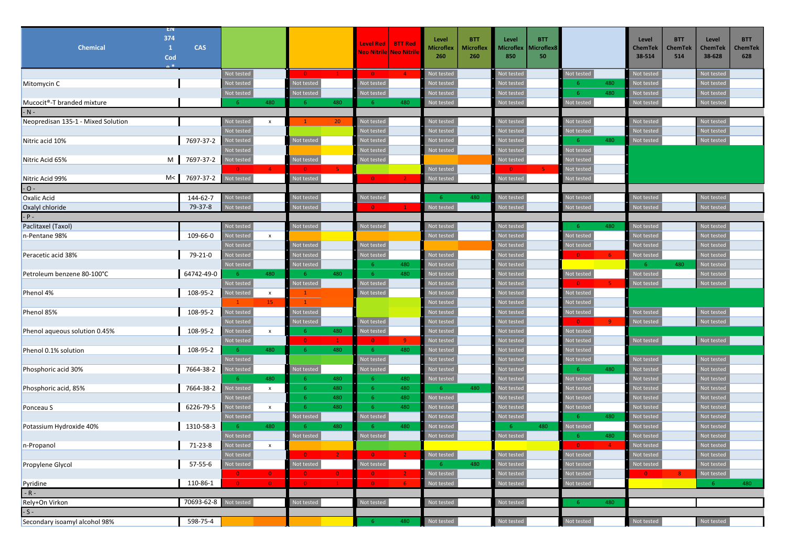|                                         | EN                  |             |                           |                    |                               |                     |                                         |                |                           |                                |                                 |                          |                                  |                          |                              |                          |                              |
|-----------------------------------------|---------------------|-------------|---------------------------|--------------------|-------------------------------|---------------------|-----------------------------------------|----------------|---------------------------|--------------------------------|---------------------------------|--------------------------|----------------------------------|--------------------------|------------------------------|--------------------------|------------------------------|
| <b>Chemical</b>                         | 374<br>$\mathbf{1}$ | <b>CAS</b>  |                           |                    |                               |                     | <b>Level Red</b>                        | <b>BTT Red</b> | Level<br><b>Microflex</b> | <b>BTT</b><br><b>Microflex</b> | Level<br>Microflex              | <b>BTT</b><br>Microflex8 |                                  | Level<br><b>ChemTek</b>  | <b>BTT</b><br><b>ChemTek</b> | Level<br><b>ChemTek</b>  | <b>BTT</b><br><b>ChemTek</b> |
|                                         | Cod                 |             |                           |                    |                               |                     | Neo Nitrile Neo Nitrik                  |                | 260                       | 260                            | 850                             | 50                       |                                  | 38-514                   | 514                          | 38-628                   | 628                          |
|                                         |                     |             |                           |                    |                               |                     |                                         |                |                           |                                |                                 |                          |                                  |                          |                              |                          |                              |
|                                         |                     |             | Not tested<br>Not tested  |                    | $\bullet$<br>Not tested       | $\mathbf{1}$        | $\bullet$<br>Not tested                 | $\overline{4}$ | Not tested                |                                | Not tested<br><b>Not tested</b> |                          | Not tested<br>480<br>-6          | Not tested               |                              | Not tested<br>Not tested |                              |
| Mitomycin C                             |                     |             | Not tested                |                    | Not tested                    |                     | <b>Not tested</b>                       |                | Not tested<br>Not tested  |                                | lot testec                      |                          | 480<br>6                         | Not tested<br>Not tested |                              | Not tested               |                              |
| Mucocit <sup>®</sup> -T branded mixture |                     |             | -6                        | 480                | -6                            | 480                 | - 6 -                                   | 480            | Not tested                |                                | Not tested                      |                          | Not tested                       | Not tested               |                              | Not tested               |                              |
| $-N -$                                  |                     |             |                           |                    |                               |                     |                                         |                |                           |                                |                                 |                          |                                  |                          |                              |                          |                              |
| Neopredisan 135-1 - Mixed Solution      |                     |             | Not tested                | $\mathsf{x}$       | $\mathbf{1}$                  | 20 <sub>2</sub>     | Not tested                              |                | Not tested                |                                | Not tested                      |                          | Not tested                       | Not tested               |                              | Not tested               |                              |
|                                         |                     |             | Not tested                |                    |                               |                     | Not tested                              |                | Not tested                |                                | lot tested                      |                          | Not tested                       | Not tested               |                              | Not tested               |                              |
| Nitric acid 10%                         |                     | 7697-37-2   | Not tested                |                    | Not tested                    |                     | Not tested                              |                | Not tested                |                                | <b>Not tested</b>               |                          | 480<br>-6                        | Not tested               |                              | Not tested               |                              |
|                                         |                     |             | Not testec                |                    |                               |                     | Not tested                              |                | Not tested                |                                | Not tested                      |                          | Not tested                       |                          |                              |                          |                              |
| Nitric Acid 65%                         |                     | M 7697-37-2 | Not tested                |                    | Not tested                    |                     | Not tested                              |                |                           |                                | Not tested                      |                          | Not tested                       |                          |                              |                          |                              |
|                                         |                     |             | $\overline{0}$            |                    | -0.                           |                     |                                         |                | Not tested                |                                |                                 |                          | Not tested                       |                          |                              |                          |                              |
| Nitric Acid 99%                         | M < 1               | 7697-37-2   | Not tested                |                    | Not tested                    |                     | $\bullet$ $\bullet$ $\bullet$ $\bullet$ | $\overline{2}$ | Not tested                |                                | Not tested                      |                          | Not tested                       |                          |                              |                          |                              |
| $-$ O $-$                               |                     |             |                           |                    |                               |                     |                                         |                |                           |                                |                                 |                          |                                  |                          |                              |                          |                              |
| <b>Oxalic Acid</b>                      |                     | 144-62-7    | Not tested                |                    | Not tested                    |                     | Not tested                              |                | -6                        | 480                            | Not tested                      |                          | Not tested                       | Not tested               |                              | Not tested               |                              |
| Oxalyl chloride                         |                     | 79-37-8     | Not testec                |                    | Not testec                    |                     | $\bullet$                               | $\mathbf{1}$   | Not tested                |                                | Not tested                      |                          | Not tested                       | Not tested               |                              | Not tested               |                              |
| $-$ P $-$                               |                     |             |                           |                    |                               |                     |                                         |                |                           |                                |                                 |                          |                                  |                          |                              |                          |                              |
| Paclitaxel (Taxol)                      |                     |             | Not tested                |                    | Not tested                    |                     | Not tested                              |                | Not tested                |                                | Not tested                      |                          | 480<br>-6                        | Not tested               |                              | Not tested               |                              |
| n-Pentane 98%                           |                     | 109-66-0    | Not testec                | $\pmb{\mathsf{x}}$ |                               |                     |                                         |                | Not tested                |                                | Not tested                      |                          | Not tested                       | Not tested               |                              | Not tested               |                              |
|                                         |                     |             | Not tested                |                    | Not tested                    |                     | Not tested                              |                |                           |                                | Not tested                      |                          | Not tested                       | Not tested               |                              | Not tested               |                              |
| Peracetic acid 38%                      |                     | 79-21-0     | Not tested                |                    | Not testec                    |                     | <b>Not tested</b>                       |                | Not tested                |                                | <b>Not tested</b>               |                          | 6 <sup>1</sup><br>$\Omega$       | Not tested               |                              | Not tested               |                              |
|                                         |                     |             | Not tested                |                    | Not tested                    |                     | -6                                      | 480            | Not tested                |                                | <b>Not tested</b>               |                          |                                  | $-6$                     | 480                          | Not tested               |                              |
| Petroleum benzene 80-100°C              |                     | 64742-49-0  | 6 <sup>1</sup>            | 480                | $-6$                          | 480                 | $-6$                                    | 480            | Not tested                |                                | <b>Not tested</b>               |                          | Not tested                       | Not tested               |                              | Not tested               |                              |
|                                         |                     |             | <b>Not tested</b>         |                    | Not tested                    |                     | Not tested                              |                | Not tested                |                                | lot testec                      |                          | $\overline{0}$<br>K.             | Not tested               |                              | Not tested               |                              |
| Phenol 4%                               |                     | 108-95-2    | Not tested                | $\mathbf{x}$       | $\mathbf{1}$                  |                     | Not tested                              |                | Not tested                |                                | lot tested                      |                          | Not tested                       |                          |                              |                          |                              |
|                                         |                     |             | $\mathbf{1}$              | 15 <sub>1</sub>    | $\mathbf{1}$                  |                     |                                         |                | Not tested                |                                | lot testec                      |                          | Not tested                       |                          |                              |                          |                              |
| Phenol 85%                              |                     | 108-95-2    | Not tested                |                    | Not tested                    |                     |                                         |                | Not tested                |                                | <b>Not tested</b>               |                          | Not tested                       | Not tested               |                              | Not tested               |                              |
|                                         |                     |             | <b>Not tested</b>         |                    | Not tested                    |                     | Not tested                              |                | Not tested                |                                | lot tested                      |                          | 9 <sup>°</sup><br>$\overline{0}$ | Not tested               |                              | Not tested               |                              |
| Phenol aqueous solution 0.45%           |                     | 108-95-2    | <b>Not tested</b>         | $\mathbf{x}$       | - 6                           | 480                 | Not tested                              |                | Not tested                |                                | <b>Not tested</b>               |                          | Not tested                       |                          |                              | Not tested               |                              |
|                                         |                     | 108-95-2    | <b>Not tested</b><br>$-6$ | 480                | $\overline{\mathbf{0}}$<br>-6 | $\mathbf{1}$<br>480 | $\bullet$<br>-6                         | $9 -$<br>480   | Not tested                |                                | <b>Not tested</b>               |                          | Not tested                       | Not tested               |                              |                          |                              |
| Phenol 0.1% solution                    |                     |             | Not tested                |                    |                               |                     | Not tested                              |                | Not tested<br>Not tested  |                                | <b>Not tested</b><br>lot tested |                          | Not tested<br>Not tested         | Not tested               |                              | Not tested               |                              |
| Phosphoric acid 30%                     |                     | 7664-38-2   | Not tested                |                    | Not tested                    |                     | Not tested                              |                | Not tested                |                                | <b>Not tested</b>               |                          | 480<br>-6                        | Not testec               |                              | Not tested               |                              |
|                                         |                     |             | - 6 -                     | 480                | -6                            | 480                 | -6                                      | 480            | Not tested                |                                | Not testec                      |                          | Not tested                       | Not tested               |                              | Not tested               |                              |
| Phosphoric acid, 85%                    |                     | 7664-38-2   | Not tested                | $\mathsf{x}$       | 6                             | 480                 | -6                                      | 480            | 6                         | 480                            | lot tested                      |                          | Not tested                       | Not tested               |                              | Not tested               |                              |
|                                         |                     |             | Not tested                |                    | -6                            | 480                 | $-6$                                    | 480            | Not tested                |                                | <b>Not tested</b>               |                          | Not tested                       | Not testec               |                              | Not tested               |                              |
| Ponceau S                               |                     | 6226-79-5   | Not tested                | $\mathsf{x}$       | -6                            | 480                 | -6                                      | 480            | Not tested                |                                | <b>Not tested</b>               |                          | Not tested                       | Not tested               |                              | Not tested               |                              |
|                                         |                     |             | <b>Not tested</b>         |                    | Not tested                    |                     | Not tested                              |                | Not tested                |                                | lot tested                      |                          | 480<br>-6                        | Not tested               |                              | Not tested               |                              |
| Potassium Hydroxide 40%                 |                     | 1310-58-3   | - 6                       | 480                | - 6                           | 480                 | -6                                      | 480            | Not tested                |                                | -6                              | 480                      | Not tested                       | Not testec               |                              | Not tested               |                              |
|                                         |                     |             | Not tested                |                    | Not tested                    |                     | Not tested                              |                | Not tested                |                                | Not tested                      |                          | 480<br>-6                        | Not tested               |                              | Not tested               |                              |
| n-Propanol                              |                     | $71-23-8$   | Not tested                | x                  |                               |                     |                                         |                |                           |                                |                                 |                          |                                  | Not tested               |                              | Not tested               |                              |
|                                         |                     |             | Not tested                |                    | $\bullet$                     | $\overline{2}$      | $\bullet$                               | $\mathbf{2}$   | Not tested                |                                | Not tested                      |                          | Not tested                       | Not tested               |                              | Not tested               |                              |
| Propylene Glycol                        |                     | 57-55-6     | Not tested                |                    | Not tested                    |                     | Not tested                              |                | -6                        | 480                            | Not tested                      |                          | Not tested                       | Not tested               |                              | Not tested               |                              |
|                                         |                     |             | $\bullet$                 | $\bullet$          | $\overline{\mathbf{0}}$       | $\mathbf{0}$        | $\bullet$                               | 2 <sup>1</sup> | Not tested                |                                | <b>Not tested</b>               |                          | Not tested                       | $\bullet$                | 8 <sup>1</sup>               | Not tested               |                              |
| Pyridine                                |                     | 110-86-1    | $\mathbf{0}$              | $\bullet$          | $\bullet$                     | $\mathbf{1}$        | $\bullet$                               | 6 <sup>1</sup> | Not tested                |                                | Not tested                      |                          | Not tested                       |                          |                              | $-6$                     | 480                          |
| $-R -$                                  |                     |             |                           |                    |                               |                     |                                         |                |                           |                                |                                 |                          |                                  |                          |                              |                          |                              |
| Rely+On Virkon                          |                     | 70693-62-8  | Not tested                |                    | Not tested                    |                     | Not tested                              |                | Not tested                |                                | Not tested                      |                          | 480<br>$6^{\circ}$               |                          |                              |                          |                              |
| $-S -$                                  |                     |             |                           |                    |                               |                     |                                         |                |                           |                                |                                 |                          |                                  |                          |                              |                          |                              |
| Secondary isoamyl alcohol 98%           |                     | 598-75-4    |                           |                    |                               |                     | -6                                      | 480            | Not tested                |                                | Not tested                      |                          | Not tested                       | Not tested               |                              | Not tested               |                              |